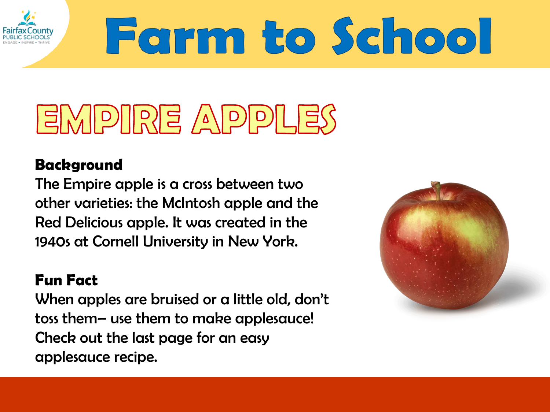

# Farm to School

## EMPIRE APPLES

### **Background**

The Empire apple is a cross between two other varieties: the McIntosh apple and the Red Delicious apple. It was created in the 1940s at Cornell University in New York.

### **Fun Fact**

When apples are bruised or a little old, don't toss them– use them to make applesauce! Check out the last page for an easy applesauce recipe.

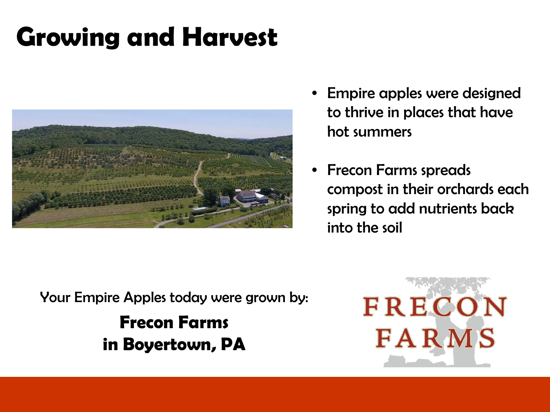### **Growing and Harvest**



- Empire apples were designed to thrive in places that have hot summers
- Frecon Farms spreads compost in their orchards each spring to add nutrients back into the soil

Your Empire Apples today were grown by: **Frecon Farms in Boyertown, PA**